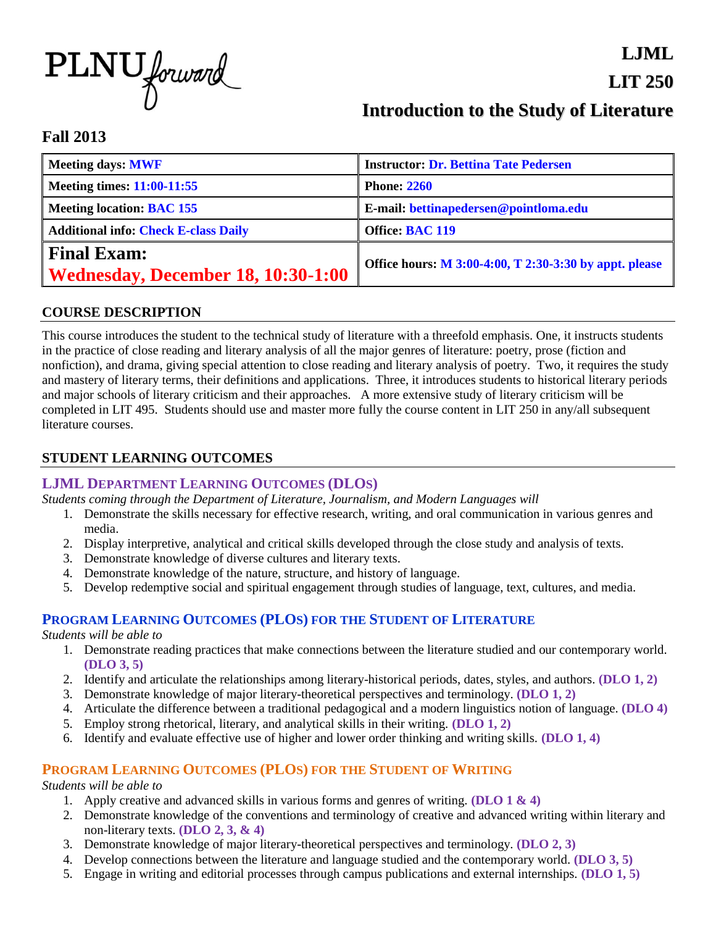

# **Introduction to the Study of Literature**

**LJML**

**LIT 250**

## **Fall 2013**

| Meeting days: MWF                                               | <b>Instructor: Dr. Bettina Tate Pedersen</b>           |
|-----------------------------------------------------------------|--------------------------------------------------------|
| Meeting times: 11:00-11:55                                      | <b>Phone: 2260</b>                                     |
| Meeting location: BAC 155                                       | E-mail: bettinapedersen@pointloma.edu                  |
| <b>Additional info: Check E-class Daily</b>                     | <b>Office: BAC 119</b>                                 |
| <b>Final Exam:</b><br><b>Wednesday, December 18, 10:30-1:00</b> | Office hours: M 3:00-4:00, T 2:30-3:30 by appt. please |

## **COURSE DESCRIPTION**

This course introduces the student to the technical study of literature with a threefold emphasis. One, it instructs students in the practice of close reading and literary analysis of all the major genres of literature: poetry, prose (fiction and nonfiction), and drama, giving special attention to close reading and literary analysis of poetry. Two, it requires the study and mastery of literary terms, their definitions and applications. Three, it introduces students to historical literary periods and major schools of literary criticism and their approaches. A more extensive study of literary criticism will be completed in LIT 495. Students should use and master more fully the course content in LIT 250 in any/all subsequent literature courses.

## **STUDENT LEARNING OUTCOMES**

## **LJML DEPARTMENT LEARNING OUTCOMES (DLOS)**

*Students coming through the Department of Literature, Journalism, and Modern Languages will* 

- 1. Demonstrate the skills necessary for effective research, writing, and oral communication in various genres and media.
- 2. Display interpretive, analytical and critical skills developed through the close study and analysis of texts.
- 3. Demonstrate knowledge of diverse cultures and literary texts.
- 4. Demonstrate knowledge of the nature, structure, and history of language.
- 5. Develop redemptive social and spiritual engagement through studies of language, text, cultures, and media.

## **PROGRAM LEARNING OUTCOMES (PLOS) FOR THE STUDENT OF LITERATURE**

*Students will be able to* 

- 1. Demonstrate reading practices that make connections between the literature studied and our contemporary world. **(DLO 3, 5)**
- 2. Identify and articulate the relationships among literary-historical periods, dates, styles, and authors. **(DLO 1, 2)**
- 3. Demonstrate knowledge of major literary-theoretical perspectives and terminology. **(DLO 1, 2)**
- 4. Articulate the difference between a traditional pedagogical and a modern linguistics notion of language. **(DLO 4)**
- 5. Employ strong rhetorical, literary, and analytical skills in their writing. **(DLO 1, 2)**
- 6. Identify and evaluate effective use of higher and lower order thinking and writing skills. **(DLO 1, 4)**

## **PROGRAM LEARNING OUTCOMES (PLOS) FOR THE STUDENT OF WRITING**

*Students will be able to*

- 1. Apply creative and advanced skills in various forms and genres of writing. **(DLO 1 & 4)**
- 2. Demonstrate knowledge of the conventions and terminology of creative and advanced writing within literary and non-literary texts. **(DLO 2, 3, & 4)**
- 3. Demonstrate knowledge of major literary-theoretical perspectives and terminology. **(DLO 2, 3)**
- 4. Develop connections between the literature and language studied and the contemporary world. **(DLO 3, 5)**
- 5. Engage in writing and editorial processes through campus publications and external internships. **(DLO 1, 5)**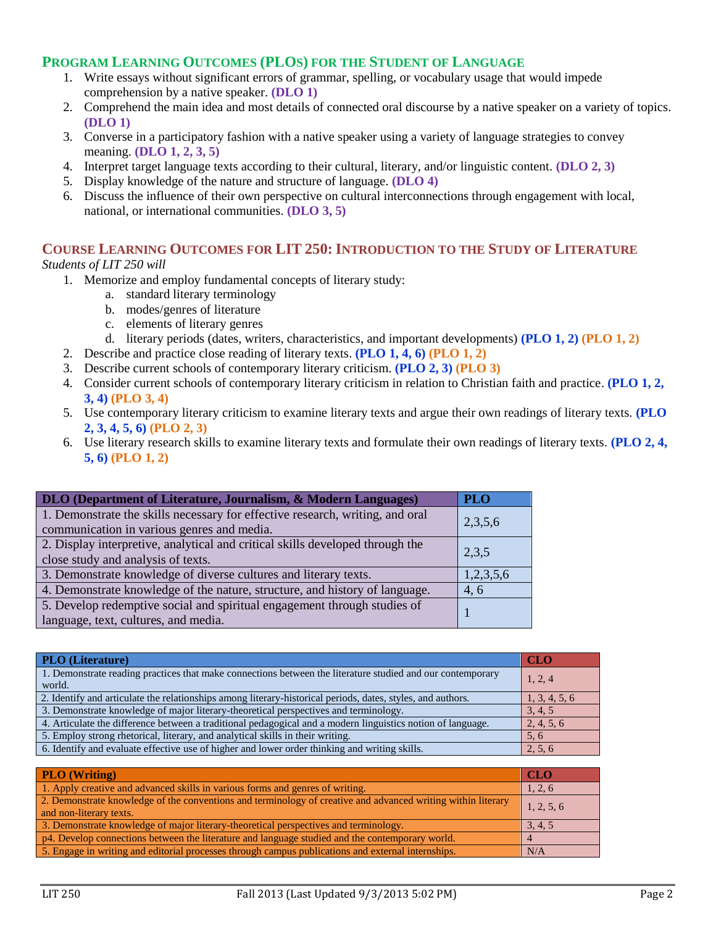## **PROGRAM LEARNING OUTCOMES (PLOS) FOR THE STUDENT OF LANGUAGE**

- 1. Write essays without significant errors of grammar, spelling, or vocabulary usage that would impede comprehension by a native speaker. **(DLO 1)**
- 2. Comprehend the main idea and most details of connected oral discourse by a native speaker on a variety of topics. **(DLO 1)**
- 3. Converse in a participatory fashion with a native speaker using a variety of language strategies to convey meaning. **(DLO 1, 2, 3, 5)**
- 4. Interpret target language texts according to their cultural, literary, and/or linguistic content. **(DLO 2, 3)**
- 5. Display knowledge of the nature and structure of language. **(DLO 4)**
- 6. Discuss the influence of their own perspective on cultural interconnections through engagement with local, national, or international communities. **(DLO 3, 5)**

# **COURSE LEARNING OUTCOMES FOR LIT 250: INTRODUCTION TO THE STUDY OF LITERATURE**

#### *Students of LIT 250 will*

- 1. Memorize and employ fundamental concepts of literary study:
	- a. standard literary terminology
	- b. modes/genres of literature
	- c. elements of literary genres
	- d. literary periods (dates, writers, characteristics, and important developments) **(PLO 1, 2) (PLO 1, 2)**
- 2. Describe and practice close reading of literary texts. **(PLO 1, 4, 6) (PLO 1, 2)**
- 3. Describe current schools of contemporary literary criticism. **(PLO 2, 3) (PLO 3)**
- 4. Consider current schools of contemporary literary criticism in relation to Christian faith and practice. **(PLO 1, 2, 3, 4) (PLO 3, 4)**
- 5. Use contemporary literary criticism to examine literary texts and argue their own readings of literary texts. **(PLO 2, 3, 4, 5, 6) (PLO 2, 3)**
- 6. Use literary research skills to examine literary texts and formulate their own readings of literary texts. **(PLO 2, 4, 5, 6) (PLO 1, 2)**

| DLO (Department of Literature, Journalism, & Modern Languages)                                                              |         |
|-----------------------------------------------------------------------------------------------------------------------------|---------|
| 1. Demonstrate the skills necessary for effective research, writing, and oral<br>communication in various genres and media. | 2,3,5,6 |
| 2. Display interpretive, analytical and critical skills developed through the<br>close study and analysis of texts.         |         |
| 3. Demonstrate knowledge of diverse cultures and literary texts.                                                            |         |
| 4. Demonstrate knowledge of the nature, structure, and history of language.                                                 | 4,6     |
| 5. Develop redemptive social and spiritual engagement through studies of<br>language, text, cultures, and media.            |         |

| <b>PLO</b> (Literature)                                                                                     | <b>CLO</b>    |
|-------------------------------------------------------------------------------------------------------------|---------------|
| 1. Demonstrate reading practices that make connections between the literature studied and our contemporary  |               |
| world.                                                                                                      | 1, 2, 4       |
| 2. Identify and articulate the relationships among literary-historical periods, dates, styles, and authors. | 1, 3, 4, 5, 6 |
| 3. Demonstrate knowledge of major literary-theoretical perspectives and terminology.                        | 3, 4, 5       |
| 4. Articulate the difference between a traditional pedagogical and a modern linguistics notion of language. |               |
| 5. Employ strong rhetorical, literary, and analytical skills in their writing.                              |               |
| 6. Identify and evaluate effective use of higher and lower order thinking and writing skills.               | 2, 5, 6       |

| <b>PLO</b> (Writing)                                                                                                                    |  |
|-----------------------------------------------------------------------------------------------------------------------------------------|--|
| 1. Apply creative and advanced skills in various forms and genres of writing.                                                           |  |
| 2. Demonstrate knowledge of the conventions and terminology of creative and advanced writing within literary<br>and non-literary texts. |  |
| 3. Demonstrate knowledge of major literary-theoretical perspectives and terminology.                                                    |  |
| p4. Develop connections between the literature and language studied and the contemporary world.                                         |  |
| 5. Engage in writing and editorial processes through campus publications and external internships.                                      |  |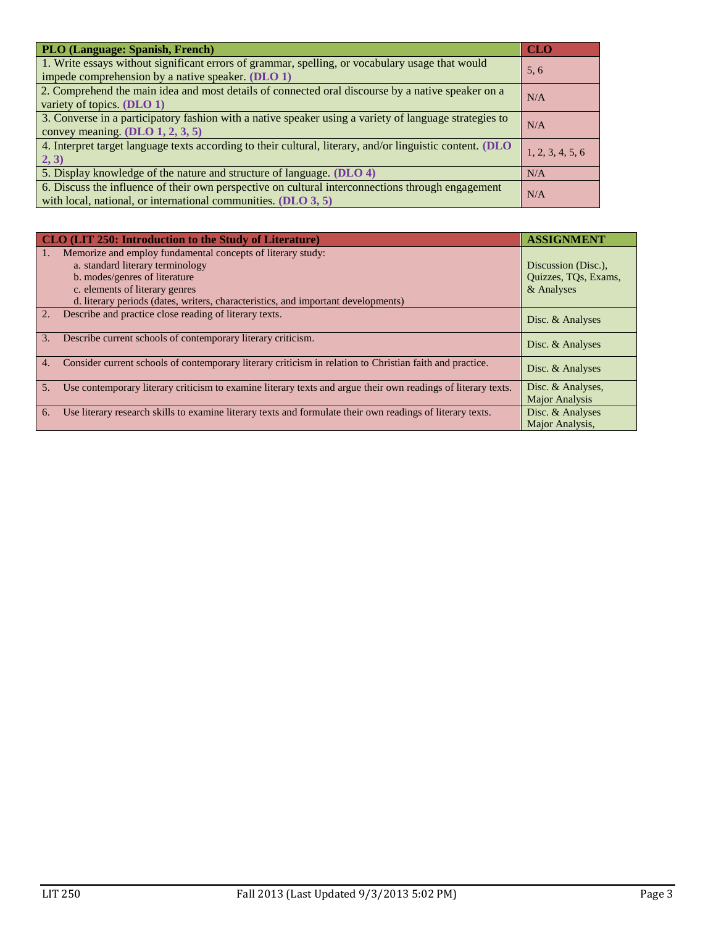| <b>PLO (Language: Spanish, French)</b>                                                                                                                                |                  |  |
|-----------------------------------------------------------------------------------------------------------------------------------------------------------------------|------------------|--|
| 1. Write essays without significant errors of grammar, spelling, or vocabulary usage that would<br>impede comprehension by a native speaker. (DLO 1)                  | 5, 6             |  |
| 2. Comprehend the main idea and most details of connected oral discourse by a native speaker on a<br>variety of topics. (DLO 1)                                       | N/A              |  |
| 3. Converse in a participatory fashion with a native speaker using a variety of language strategies to<br>convey meaning. $(DLO 1, 2, 3, 5)$                          | N/A              |  |
| 4. Interpret target language texts according to their cultural, literary, and/or linguistic content. (DLO<br>2, 3)                                                    | 1, 2, 3, 4, 5, 6 |  |
| 5. Display knowledge of the nature and structure of language. (DLO 4)                                                                                                 |                  |  |
| 6. Discuss the influence of their own perspective on cultural interconnections through engagement<br>with local, national, or international communities. $(DLO 3, 5)$ | N/A              |  |

| CLO (LIT 250: Introduction to the Study of Literature)                                                                          | <b>ASSIGNMENT</b>                          |
|---------------------------------------------------------------------------------------------------------------------------------|--------------------------------------------|
| Memorize and employ fundamental concepts of literary study:                                                                     |                                            |
| a. standard literary terminology                                                                                                | Discussion (Disc.),                        |
| b. modes/genres of literature                                                                                                   | Quizzes, TQs, Exams,                       |
| c. elements of literary genres                                                                                                  | & Analyses                                 |
| d. literary periods (dates, writers, characteristics, and important developments)                                               |                                            |
| 2.<br>Describe and practice close reading of literary texts.                                                                    | Disc. & Analyses                           |
| 3.<br>Describe current schools of contemporary literary criticism.                                                              | Disc. & Analyses                           |
| Consider current schools of contemporary literary criticism in relation to Christian faith and practice.<br>4.                  | Disc. & Analyses                           |
| Use contemporary literary criticism to examine literary texts and argue their own readings of literary texts.<br>5 <sub>1</sub> | Disc. & Analyses,<br><b>Major Analysis</b> |
| Use literary research skills to examine literary texts and formulate their own readings of literary texts.<br>6.                | Disc. & Analyses                           |
|                                                                                                                                 | Major Analysis,                            |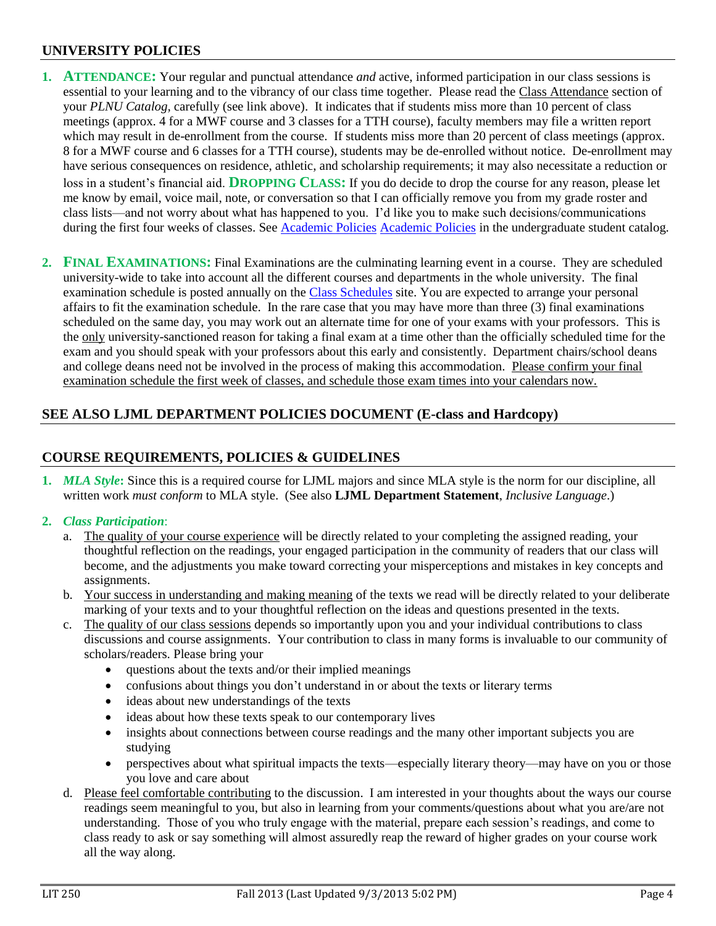## **UNIVERSITY POLICIES**

- **1. ATTENDANCE:** Your regular and punctual attendance *and* active, informed participation in our class sessions is essential to your learning and to the vibrancy of our class time together. Please read the Class Attendance section of your *PLNU Catalog,* carefully (see link above). It indicates that if students miss more than 10 percent of class meetings (approx. 4 for a MWF course and 3 classes for a TTH course), faculty members may file a written report which may result in de-enrollment from the course. If students miss more than 20 percent of class meetings (approx. 8 for a MWF course and 6 classes for a TTH course), students may be de-enrolled without notice. De-enrollment may have serious consequences on residence, athletic, and scholarship requirements; it may also necessitate a reduction or loss in a student's financial aid. **DROPPING CLASS:** If you do decide to drop the course for any reason, please let me know by email, voice mail, note, or conversation so that I can officially remove you from my grade roster and class lists—and not worry about what has happened to you. I'd like you to make such decisions/communications during the first four weeks of classes. See [Academic Policies](http://www.pointloma.edu/experience/academics/catalogs/undergraduate-catalog/point-loma-education/academic-policies) [Academic Policies](http://www.pointloma.edu/experience/academics/catalogs/undergraduate-catalog/point-loma-education/academic-policies) in the undergraduate student catalog.
- **2. FINAL EXAMINATIONS:** Final Examinations are the culminating learning event in a course. They are scheduled university-wide to take into account all the different courses and departments in the whole university. The final examination schedule is posted annually on the [Class Schedules](http://www.pointloma.edu/experience/academics/class-schedules) site. You are expected to arrange your personal affairs to fit the examination schedule. In the rare case that you may have more than three (3) final examinations scheduled on the same day, you may work out an alternate time for one of your exams with your professors. This is the only university-sanctioned reason for taking a final exam at a time other than the officially scheduled time for the exam and you should speak with your professors about this early and consistently. Department chairs/school deans and college deans need not be involved in the process of making this accommodation. Please confirm your final examination schedule the first week of classes, and schedule those exam times into your calendars now.

# **SEE ALSO LJML DEPARTMENT POLICIES DOCUMENT (E-class and Hardcopy)**

## **COURSE REQUIREMENTS, POLICIES & GUIDELINES**

**1.** *MLA Style***:** Since this is a required course for LJML majors and since MLA style is the norm for our discipline, all written work *must conform* to MLA style. (See also **LJML Department Statement**, *Inclusive Language*.)

## **2.** *Class Participation*:

- a. The quality of your course experience will be directly related to your completing the assigned reading, your thoughtful reflection on the readings, your engaged participation in the community of readers that our class will become, and the adjustments you make toward correcting your misperceptions and mistakes in key concepts and assignments.
- b. Your success in understanding and making meaning of the texts we read will be directly related to your deliberate marking of your texts and to your thoughtful reflection on the ideas and questions presented in the texts.
- c. The quality of our class sessions depends so importantly upon you and your individual contributions to class discussions and course assignments. Your contribution to class in many forms is invaluable to our community of scholars/readers. Please bring your
	- questions about the texts and/or their implied meanings
	- confusions about things you don't understand in or about the texts or literary terms
	- ideas about new understandings of the texts
	- ideas about how these texts speak to our contemporary lives
	- insights about connections between course readings and the many other important subjects you are studying
	- perspectives about what spiritual impacts the texts—especially literary theory—may have on you or those you love and care about
- d. Please feel comfortable contributing to the discussion. I am interested in your thoughts about the ways our course readings seem meaningful to you, but also in learning from your comments/questions about what you are/are not understanding. Those of you who truly engage with the material, prepare each session's readings, and come to class ready to ask or say something will almost assuredly reap the reward of higher grades on your course work all the way along.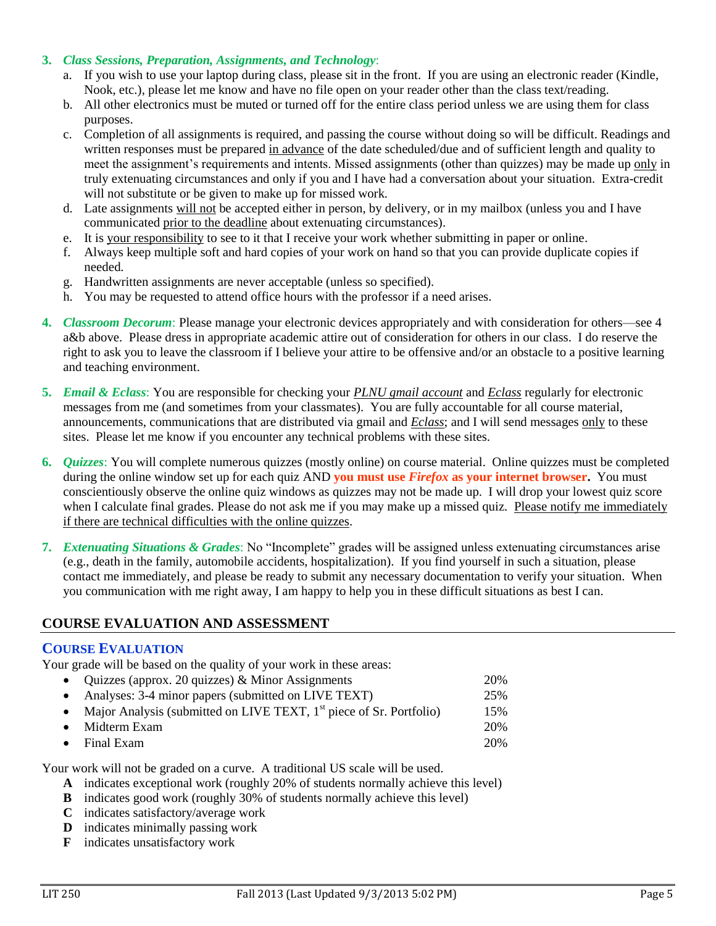#### **3.** *Class Sessions, Preparation, Assignments, and Technology*:

- a. If you wish to use your laptop during class, please sit in the front. If you are using an electronic reader (Kindle, Nook, etc.), please let me know and have no file open on your reader other than the class text/reading.
- b. All other electronics must be muted or turned off for the entire class period unless we are using them for class purposes.
- c. Completion of all assignments is required, and passing the course without doing so will be difficult. Readings and written responses must be prepared in advance of the date scheduled/due and of sufficient length and quality to meet the assignment's requirements and intents. Missed assignments (other than quizzes) may be made up only in truly extenuating circumstances and only if you and I have had a conversation about your situation. Extra-credit will not substitute or be given to make up for missed work.
- d. Late assignments will not be accepted either in person, by delivery, or in my mailbox (unless you and I have communicated prior to the deadline about extenuating circumstances).
- e. It is your responsibility to see to it that I receive your work whether submitting in paper or online.
- f. Always keep multiple soft and hard copies of your work on hand so that you can provide duplicate copies if needed.
- g. Handwritten assignments are never acceptable (unless so specified).
- h. You may be requested to attend office hours with the professor if a need arises.
- **4.** *Classroom Decorum*: Please manage your electronic devices appropriately and with consideration for others—see 4 a&b above. Please dress in appropriate academic attire out of consideration for others in our class. I do reserve the right to ask you to leave the classroom if I believe your attire to be offensive and/or an obstacle to a positive learning and teaching environment.
- **5.** *Email & Eclass*: You are responsible for checking your *PLNU gmail account* and *Eclass* regularly for electronic messages from me (and sometimes from your classmates). You are fully accountable for all course material, announcements, communications that are distributed via gmail and *Eclass*; and I will send messages only to these sites. Please let me know if you encounter any technical problems with these sites.
- **6.** *Quizzes*: You will complete numerous quizzes (mostly online) on course material. Online quizzes must be completed during the online window set up for each quiz AND **you must use** *Firefox* **as your internet browser.** You must conscientiously observe the online quiz windows as quizzes may not be made up. I will drop your lowest quiz score when I calculate final grades. Please do not ask me if you may make up a missed quiz. Please notify me immediately if there are technical difficulties with the online quizzes.
- **7.** *Extenuating Situations & Grades*: No "Incomplete" grades will be assigned unless extenuating circumstances arise (e.g., death in the family, automobile accidents, hospitalization). If you find yourself in such a situation, please contact me immediately, and please be ready to submit any necessary documentation to verify your situation. When you communication with me right away, I am happy to help you in these difficult situations as best I can.

## **COURSE EVALUATION AND ASSESSMENT**

## **COURSE EVALUATION**

Your grade will be based on the quality of your work in these areas:

- Quizzes (approx. 20 quizzes) & Minor Assignments 20%
- Analyses: 3-4 minor papers (submitted on LIVE TEXT) 25%
- Major Analysis (submitted on LIVE TEXT,  $1<sup>st</sup>$  piece of Sr. Portfolio) 15%
- Midterm Exam 20% • Final Exam 20%

Your work will not be graded on a curve. A traditional US scale will be used.

- **A** indicates exceptional work (roughly 20% of students normally achieve this level)
- **B** indicates good work (roughly 30% of students normally achieve this level)
- **C** indicates satisfactory/average work
- **D** indicates minimally passing work
- **F** indicates unsatisfactory work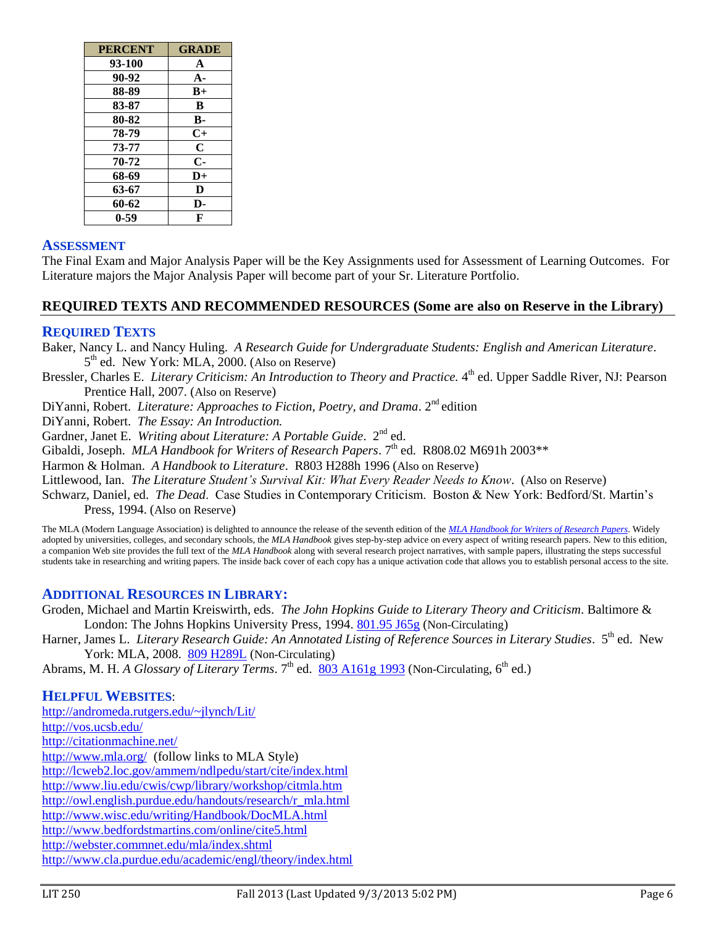| <b>PERCENT</b> | <b>GRADE</b> |
|----------------|--------------|
| 93-100         | A            |
| 90-92          | $A -$        |
| 88-89          | $B+$         |
| 83-87          | B            |
| 80-82          | $\bf{B}$     |
| 78-79          | $C+$         |
| 73-77          | $\mathbf C$  |
| 70-72          | $\mathbf{C}$ |
| 68-69          | $D+$         |
| 63-67          | D            |
| 60-62          | D-           |
| 0-59           | F            |

## **ASSESSMENT**

The Final Exam and Major Analysis Paper will be the Key Assignments used for Assessment of Learning Outcomes. For Literature majors the Major Analysis Paper will become part of your Sr. Literature Portfolio.

## **REQUIRED TEXTS AND RECOMMENDED RESOURCES (Some are also on Reserve in the Library)**

#### **REQUIRED TEXTS**

Baker, Nancy L. and Nancy Huling. *A Research Guide for Undergraduate Students: English and American Literature*. 5<sup>th</sup> ed. New York: MLA, 2000. (Also on Reserve)

Bressler, Charles E. *Literary Criticism: An Introduction to Theory and Practice*. 4<sup>th</sup> ed. Upper Saddle River, NJ: Pearson Prentice Hall, 2007. (Also on Reserve)

DiYanni, Robert. *Literature: Approaches to Fiction, Poetry, and Drama.* 2<sup>nd</sup> edition

DiYanni, Robert. *The Essay: An Introduction.*

Gardner, Janet E. Writing about Literature: A Portable Guide. 2<sup>nd</sup> ed.

Gibaldi, Joseph. *MLA Handbook for Writers of Research Papers*. 7<sup>th</sup> ed. R808.02 M691h 2003\*\*

Harmon & Holman. *A Handbook to Literature*. R803 H288h 1996 (Also on Reserve)

Littlewood, Ian. *The Literature Student's Survival Kit: What Every Reader Needs to Know*. (Also on Reserve)

Schwarz, Daniel, ed. *The Dead*. Case Studies in Contemporary Criticism. Boston & New York: Bedford/St. Martin's Press, 1994. (Also on Reserve)

The MLA (Modern Language Association) is delighted to announce the release of the seventh edition of the *[MLA Handbook for Writers of Research Papers](http://rs6.net/tn.jsp?et=1102498509993&e=001aMRWRFrWDf_MyMO1r3Go_RN6FVZ0rqshJ1QlQ2GOIA82Dz962AQtUCOmn1q7CBsjwCkq3uvXwr6KZGMCDEH3OlIvyLB36MlvkDsd5Y4pIs4dUJubkOGARgex4O032Sjsi6R8JRKWKLc=)*. Widely adopted by universities, colleges, and secondary schools, the *MLA Handbook* gives step-by-step advice on every aspect of writing research papers. New to this edition, a companion Web site provides the full text of the *MLA Handbook* along with several research project narratives, with sample papers, illustrating the steps successful students take in researching and writing papers. The inside back cover of each copy has a unique activation code that allows you to establish personal access to the site.

## **ADDITIONAL RESOURCES IN LIBRARY:**

Groden, Michael and Martin Kreiswirth, eds. *The John Hopkins Guide to Literary Theory and Criticism*. Baltimore & London: The Johns Hopkins University Press, 1994. [801.95 J65g](http://phineas.pointloma.edu/search~S0?/c801.95+J65g/c801.95+j65g/-3,-1,,E/browse) (Non-Circulating)

Harner, James L. *Literary Research Guide: An Annotated Listing of Reference Sources in Literary Studies*. 5<sup>th</sup> ed. New York: MLA, 2008. [809 H289L](http://phineas.pointloma.edu/search~S0?/c809+H289L/c809+h289l/-3,-1,,E/browse) (Non-Circulating)

Abrams, M. H. *A Glossary of Literary Terms*. 7<sup>th</sup> ed. [803 A161g 1993](http://phineas.pointloma.edu/search~S0?/c803+A161g+1993/c803+a161g+1993/-3,-1,,E/browse) (Non-Circulating, 6<sup>th</sup> ed.)

## **HELPFUL WEBSITES**:

<http://andromeda.rutgers.edu/~jlynch/Lit/> <http://vos.ucsb.edu/> <http://citationmachine.net/> <http://www.mla.org/>(follow links to MLA Style) <http://lcweb2.loc.gov/ammem/ndlpedu/start/cite/index.html> <http://www.liu.edu/cwis/cwp/library/workshop/citmla.htm> [http://owl.english.purdue.edu/handouts/research/r\\_mla.html](http://owl.english.purdue.edu/handouts/research/r_mla.html) <http://www.wisc.edu/writing/Handbook/DocMLA.html> <http://www.bedfordstmartins.com/online/cite5.html> <http://webster.commnet.edu/mla/index.shtml> <http://www.cla.purdue.edu/academic/engl/theory/index.html>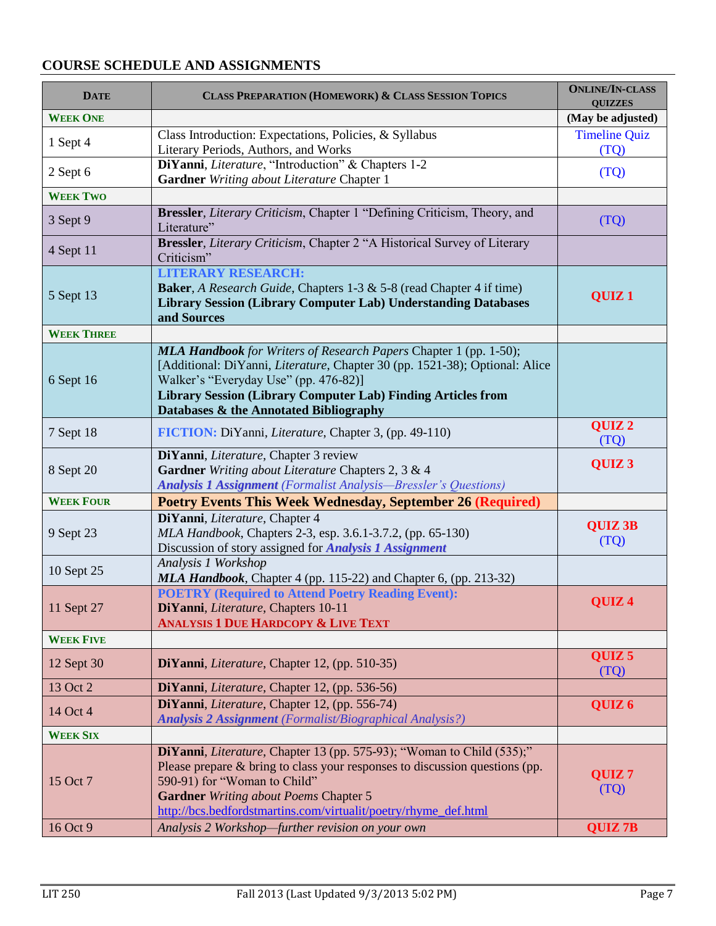## **COURSE SCHEDULE AND ASSIGNMENTS**

| <b>DATE</b>       | <b>CLASS PREPARATION (HOMEWORK) &amp; CLASS SESSION TOPICS</b>                                                                                                                                                                                                                                                            | <b>ONLINE/IN-CLASS</b><br><b>QUIZZES</b> |
|-------------------|---------------------------------------------------------------------------------------------------------------------------------------------------------------------------------------------------------------------------------------------------------------------------------------------------------------------------|------------------------------------------|
| <b>WEEK ONE</b>   |                                                                                                                                                                                                                                                                                                                           | (May be adjusted)                        |
| 1 Sept 4          | Class Introduction: Expectations, Policies, & Syllabus<br>Literary Periods, Authors, and Works                                                                                                                                                                                                                            | <b>Timeline Quiz</b><br>(TQ)             |
| 2 Sept 6          | DiYanni, Literature, "Introduction" & Chapters 1-2<br>Gardner Writing about Literature Chapter 1                                                                                                                                                                                                                          | (TQ)                                     |
| <b>WEEK TWO</b>   |                                                                                                                                                                                                                                                                                                                           |                                          |
| 3 Sept 9          | Bressler, Literary Criticism, Chapter 1 "Defining Criticism, Theory, and<br>Literature"                                                                                                                                                                                                                                   | (TQ)                                     |
| 4 Sept 11         | Bressler, Literary Criticism, Chapter 2 "A Historical Survey of Literary<br>Criticism"                                                                                                                                                                                                                                    |                                          |
| 5 Sept 13         | <b>LITERARY RESEARCH:</b><br><b>Baker</b> , A Research Guide, Chapters 1-3 & 5-8 (read Chapter 4 if time)<br><b>Library Session (Library Computer Lab) Understanding Databases</b><br>and Sources                                                                                                                         | QUIZ <sub>1</sub>                        |
| <b>WEEK THREE</b> |                                                                                                                                                                                                                                                                                                                           |                                          |
| 6 Sept 16         | <b>MLA Handbook</b> for Writers of Research Papers Chapter 1 (pp. 1-50);<br>[Additional: DiYanni, <i>Literature</i> , Chapter 30 (pp. 1521-38); Optional: Alice<br>Walker's "Everyday Use" (pp. 476-82)]<br><b>Library Session (Library Computer Lab) Finding Articles from</b><br>Databases & the Annotated Bibliography |                                          |
| 7 Sept 18         | FICTION: DiYanni, <i>Literature</i> , Chapter 3, (pp. 49-110)                                                                                                                                                                                                                                                             | QUIZ <sub>2</sub><br>(TQ)                |
| 8 Sept 20         | DiYanni, Literature, Chapter 3 review<br>Gardner Writing about Literature Chapters 2, 3 & 4<br><b>Analysis 1 Assignment</b> (Formalist Analysis-Bressler's Questions)                                                                                                                                                     | QUIZ <sub>3</sub>                        |
| <b>WEEK FOUR</b>  | <b>Poetry Events This Week Wednesday, September 26 (Required)</b>                                                                                                                                                                                                                                                         |                                          |
| 9 Sept 23         | DiYanni, Literature, Chapter 4<br>MLA Handbook, Chapters 2-3, esp. 3.6.1-3.7.2, (pp. 65-130)<br>Discussion of story assigned for <b>Analysis 1 Assignment</b>                                                                                                                                                             | <b>QUIZ 3B</b><br>(TQ)                   |
| 10 Sept 25        | Analysis 1 Workshop<br>MLA Handbook, Chapter 4 (pp. 115-22) and Chapter 6, (pp. 213-32)                                                                                                                                                                                                                                   |                                          |
| 11 Sept 27        | <b>POETRY (Required to Attend Poetry Reading Event):</b><br>DiYanni, Literature, Chapters 10-11<br><b>ANALYSIS 1 DUE HARDCOPY &amp; LIVE TEXT</b>                                                                                                                                                                         | QUIZ <sub>4</sub>                        |
| <b>WEEK FIVE</b>  |                                                                                                                                                                                                                                                                                                                           |                                          |
| 12 Sept 30        | DiYanni, Literature, Chapter 12, (pp. 510-35)                                                                                                                                                                                                                                                                             | QUIZ <sub>5</sub><br>(TQ)                |
| 13 Oct 2          | DiYanni, Literature, Chapter 12, (pp. 536-56)                                                                                                                                                                                                                                                                             |                                          |
| 14 Oct 4          | DiYanni, Literature, Chapter 12, (pp. 556-74)<br><b>Analysis 2 Assignment</b> (Formalist/Biographical Analysis?)                                                                                                                                                                                                          | QUIZ <sub>6</sub>                        |
| <b>WEEK SIX</b>   |                                                                                                                                                                                                                                                                                                                           |                                          |
| 15 Oct 7          | DiYanni, Literature, Chapter 13 (pp. 575-93); "Woman to Child (535);"<br>Please prepare & bring to class your responses to discussion questions (pp.<br>590-91) for "Woman to Child"<br><b>Gardner</b> Writing about Poems Chapter 5<br>http://bcs.bedfordstmartins.com/virtualit/poetry/rhyme_def.html                   | QUIZ <sub>7</sub><br>(TQ)                |
| 16 Oct 9          | Analysis 2 Workshop-further revision on your own                                                                                                                                                                                                                                                                          | <b>QUIZ 7B</b>                           |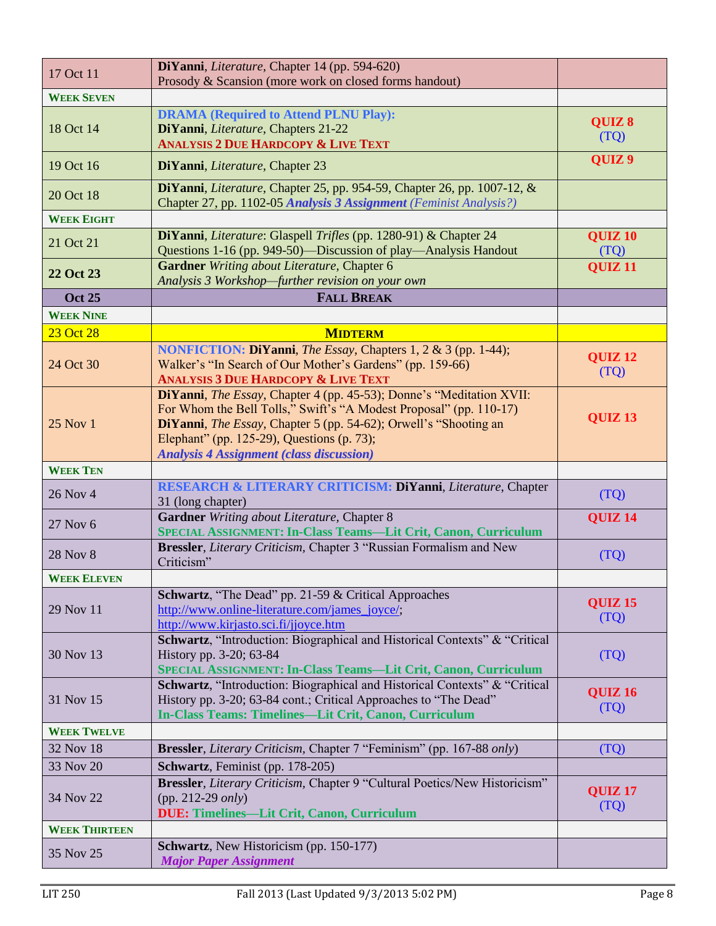| 17 Oct 11            | DiYanni, Literature, Chapter 14 (pp. 594-620)                                                                                                                                                                                                                                                                   |                            |
|----------------------|-----------------------------------------------------------------------------------------------------------------------------------------------------------------------------------------------------------------------------------------------------------------------------------------------------------------|----------------------------|
|                      | Prosody & Scansion (more work on closed forms handout)                                                                                                                                                                                                                                                          |                            |
| <b>WEEK SEVEN</b>    |                                                                                                                                                                                                                                                                                                                 |                            |
|                      | <b>DRAMA (Required to Attend PLNU Play):</b>                                                                                                                                                                                                                                                                    | QUIZ 8                     |
| 18 Oct 14            | DiYanni, Literature, Chapters 21-22<br><b>ANALYSIS 2 DUE HARDCOPY &amp; LIVE TEXT</b>                                                                                                                                                                                                                           | (TQ)                       |
|                      |                                                                                                                                                                                                                                                                                                                 | QUIZ <sub>9</sub>          |
| 19 Oct 16            | DiYanni, Literature, Chapter 23                                                                                                                                                                                                                                                                                 |                            |
| 20 Oct 18            | DiYanni, Literature, Chapter 25, pp. 954-59, Chapter 26, pp. 1007-12, $\&$<br>Chapter 27, pp. 1102-05 Analysis 3 Assignment (Feminist Analysis?)                                                                                                                                                                |                            |
| <b>WEEK EIGHT</b>    |                                                                                                                                                                                                                                                                                                                 |                            |
| 21 Oct 21            | DiYanni, Literature: Glaspell Trifles (pp. 1280-91) & Chapter 24<br>Questions 1-16 (pp. 949-50)—Discussion of play—Analysis Handout                                                                                                                                                                             | QUIZ <sub>10</sub><br>(TQ) |
| 22 Oct 23            | <b>Gardner</b> Writing about Literature, Chapter 6<br>Analysis 3 Workshop-further revision on your own                                                                                                                                                                                                          | <b>QUIZ 11</b>             |
| <b>Oct 25</b>        | <b>FALL BREAK</b>                                                                                                                                                                                                                                                                                               |                            |
| <b>WEEK NINE</b>     |                                                                                                                                                                                                                                                                                                                 |                            |
| 23 Oct 28            | <b>MIDTERM</b>                                                                                                                                                                                                                                                                                                  |                            |
| 24 Oct 30            | NONFICTION: DiYanni, The Essay, Chapters 1, 2 & 3 (pp. 1-44);<br>Walker's "In Search of Our Mother's Gardens" (pp. 159-66)<br><b>ANALYSIS 3 DUE HARDCOPY &amp; LIVE TEXT</b>                                                                                                                                    | <b>QUIZ 12</b><br>(TQ)     |
| 25 Nov 1             | DiYanni, The Essay, Chapter 4 (pp. 45-53); Donne's "Meditation XVII:<br>For Whom the Bell Tolls," Swift's "A Modest Proposal" (pp. 110-17)<br>DiYanni, The Essay, Chapter 5 (pp. 54-62); Orwell's "Shooting an<br>Elephant" (pp. 125-29), Questions (p. 73);<br><b>Analysis 4 Assignment (class discussion)</b> | QUIZ <sub>13</sub>         |
| <b>WEEK TEN</b>      |                                                                                                                                                                                                                                                                                                                 |                            |
| 26 Nov 4             | RESEARCH & LITERARY CRITICISM: DiYanni, Literature, Chapter<br>31 (long chapter)                                                                                                                                                                                                                                | (TQ)                       |
| 27 Nov 6             | Gardner Writing about Literature, Chapter 8<br>SPECIAL ASSIGNMENT: In-Class Teams-Lit Crit, Canon, Curriculum                                                                                                                                                                                                   | <b>QUIZ 14</b>             |
| <b>28 Nov 8</b>      | Bressler, Literary Criticism, Chapter 3 "Russian Formalism and New<br>Criticism"                                                                                                                                                                                                                                | (TQ)                       |
| <b>WEEK ELEVEN</b>   |                                                                                                                                                                                                                                                                                                                 |                            |
| 29 Nov 11            | Schwartz, "The Dead" pp. 21-59 & Critical Approaches<br>http://www.online-literature.com/james_joyce/;<br>http://www.kirjasto.sci.fi/jjoyce.htm                                                                                                                                                                 | <b>QUIZ 15</b><br>(TQ)     |
| 30 Nov 13            | Schwartz, "Introduction: Biographical and Historical Contexts" & "Critical<br>History pp. 3-20; 63-84<br>SPECIAL ASSIGNMENT: In-Class Teams-Lit Crit, Canon, Curriculum                                                                                                                                         | (TQ)                       |
| 31 Nov 15            | Schwartz, "Introduction: Biographical and Historical Contexts" & "Critical<br>History pp. 3-20; 63-84 cont.; Critical Approaches to "The Dead"<br>In-Class Teams: Timelines-Lit Crit, Canon, Curriculum                                                                                                         | <b>QUIZ 16</b><br>(TQ)     |
| <b>WEEK TWELVE</b>   |                                                                                                                                                                                                                                                                                                                 |                            |
| 32 Nov 18            | <b>Bressler</b> , <i>Literary Criticism</i> , Chapter 7 "Feminism" (pp. 167-88 <i>only</i> )                                                                                                                                                                                                                    | (TQ)                       |
| 33 Nov 20            | Schwartz, Feminist (pp. 178-205)                                                                                                                                                                                                                                                                                |                            |
| 34 Nov 22            | Bressler, Literary Criticism, Chapter 9 "Cultural Poetics/New Historicism"<br>$(pp. 212-29 \text{ only})$<br><b>DUE: Timelines-Lit Crit, Canon, Curriculum</b>                                                                                                                                                  | QUIZ <sub>17</sub><br>(TQ) |
| <b>WEEK THIRTEEN</b> |                                                                                                                                                                                                                                                                                                                 |                            |
| 35 Nov 25            | Schwartz, New Historicism (pp. 150-177)<br><b>Major Paper Assignment</b>                                                                                                                                                                                                                                        |                            |